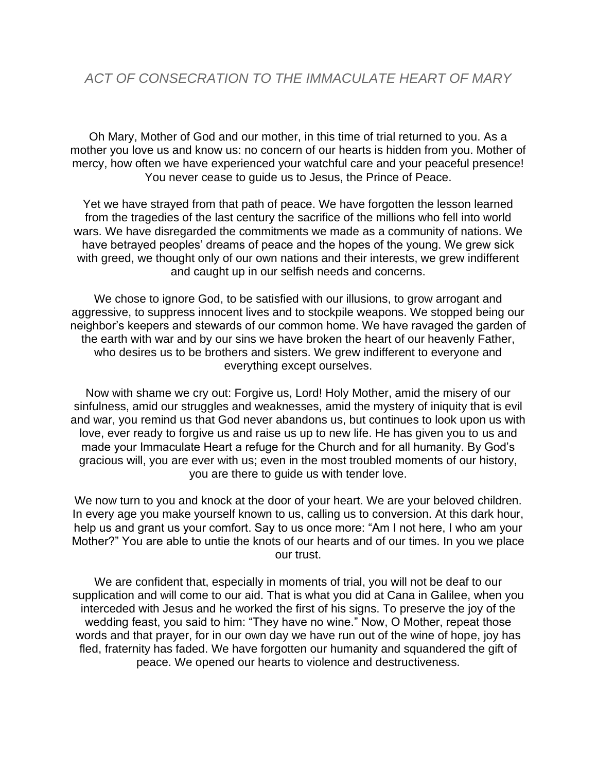Oh Mary, Mother of God and our mother, in this time of trial returned to you. As a mother you love us and know us: no concern of our hearts is hidden from you. Mother of mercy, how often we have experienced your watchful care and your peaceful presence! You never cease to guide us to Jesus, the Prince of Peace.

Yet we have strayed from that path of peace. We have forgotten the lesson learned from the tragedies of the last century the sacrifice of the millions who fell into world wars. We have disregarded the commitments we made as a community of nations. We have betrayed peoples' dreams of peace and the hopes of the young. We grew sick with greed, we thought only of our own nations and their interests, we grew indifferent and caught up in our selfish needs and concerns.

We chose to ignore God, to be satisfied with our illusions, to grow arrogant and aggressive, to suppress innocent lives and to stockpile weapons. We stopped being our neighbor's keepers and stewards of our common home. We have ravaged the garden of the earth with war and by our sins we have broken the heart of our heavenly Father, who desires us to be brothers and sisters. We grew indifferent to everyone and everything except ourselves.

Now with shame we cry out: Forgive us, Lord! Holy Mother, amid the misery of our sinfulness, amid our struggles and weaknesses, amid the mystery of iniquity that is evil and war, you remind us that God never abandons us, but continues to look upon us with love, ever ready to forgive us and raise us up to new life. He has given you to us and made your Immaculate Heart a refuge for the Church and for all humanity. By God's gracious will, you are ever with us; even in the most troubled moments of our history, you are there to guide us with tender love.

We now turn to you and knock at the door of your heart. We are your beloved children. In every age you make yourself known to us, calling us to conversion. At this dark hour, help us and grant us your comfort. Say to us once more: "Am I not here, I who am your Mother?" You are able to untie the knots of our hearts and of our times. In you we place our trust.

We are confident that, especially in moments of trial, you will not be deaf to our supplication and will come to our aid. That is what you did at Cana in Galilee, when you interceded with Jesus and he worked the first of his signs. To preserve the joy of the wedding feast, you said to him: "They have no wine." Now, O Mother, repeat those words and that prayer, for in our own day we have run out of the wine of hope, joy has fled, fraternity has faded. We have forgotten our humanity and squandered the gift of peace. We opened our hearts to violence and destructiveness.